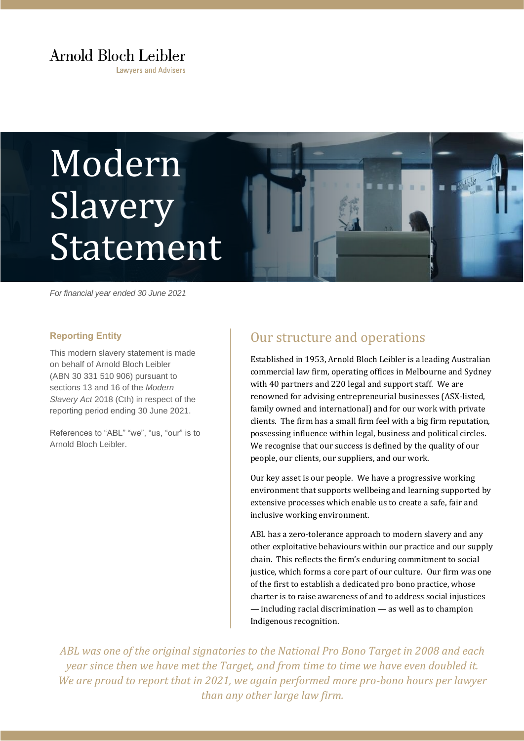## Arnold Bloch Leibler

**Lawvers and Advisers** 

# Modern Slavery Statement

*For financial year ended 30 June 2021*

#### **Reporting Entity**

This modern slavery statement is made on behalf of Arnold Bloch Leibler (ABN 30 331 510 906) pursuant to sections 13 and 16 of the *Modern Slavery Act* 2018 (Cth) in respect of the reporting period ending 30 June 2021.

References to "ABL" "we", "us, "our" is to Arnold Bloch Leibler.

### Our structure and operations

Established in 1953, Arnold Bloch Leibler is a leading Australian commercial law firm, operating offices in Melbourne and Sydney with 40 partners and 220 legal and support staff. We are renowned for advising entrepreneurial businesses (ASX-listed, family owned and international) and for our work with private clients. The firm has a small firm feel with a big firm reputation, possessing influence within legal, business and political circles. We recognise that our success is defined by the quality of our people, our clients, our suppliers, and our work.

Our key asset is our people. We have a progressive working environment that supports wellbeing and learning supported by extensive processes which enable us to create a safe, fair and inclusive working environment.

ABL has a zero-tolerance approach to modern slavery and any other exploitative behaviours within our practice and our supply chain. This reflects the firm's enduring commitment to social justice, which forms a core part of our culture. Our firm was one of the first to establish a dedicated pro bono practice, whose charter is to raise awareness of and to address social injustices — including racial discrimination — as well as to champion Indigenous recognition.

*ABL was one of the original signatories to the National Pro Bono Target in 2008 and each year since then we have met the Target, and from time to time we have even doubled it. We are proud to report that in 2021, we again performed more pro-bono hours per lawyer than any other large law firm.*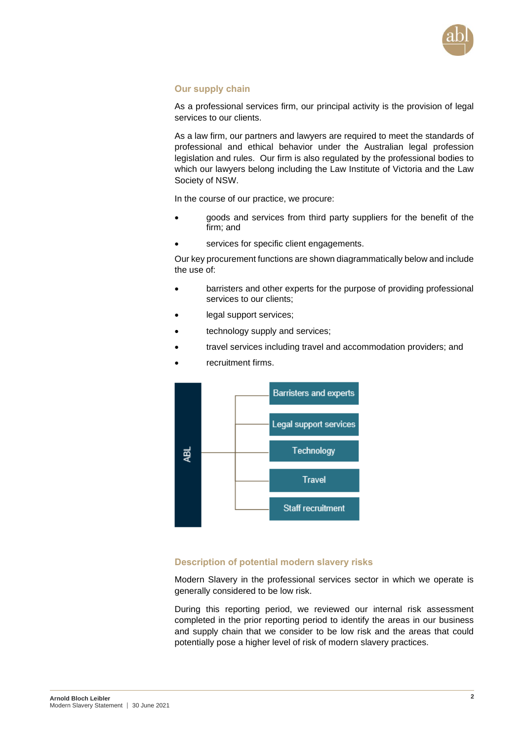

#### **Our supply chain**

As a professional services firm, our principal activity is the provision of legal services to our clients.

As a law firm, our partners and lawyers are required to meet the standards of professional and ethical behavior under the Australian legal profession legislation and rules. Our firm is also regulated by the professional bodies to which our lawyers belong including the Law Institute of Victoria and the Law Society of NSW.

In the course of our practice, we procure:

- goods and services from third party suppliers for the benefit of the firm; and
- services for specific client engagements.

Our key procurement functions are shown diagrammatically below and include the use of:

- barristers and other experts for the purpose of providing professional services to our clients;
- legal support services;
- technology supply and services;
- travel services including travel and accommodation providers; and
- recruitment firms.



#### **Description of potential modern slavery risks**

Modern Slavery in the professional services sector in which we operate is generally considered to be low risk.

During this reporting period, we reviewed our internal risk assessment completed in the prior reporting period to identify the areas in our business and supply chain that we consider to be low risk and the areas that could potentially pose a higher level of risk of modern slavery practices.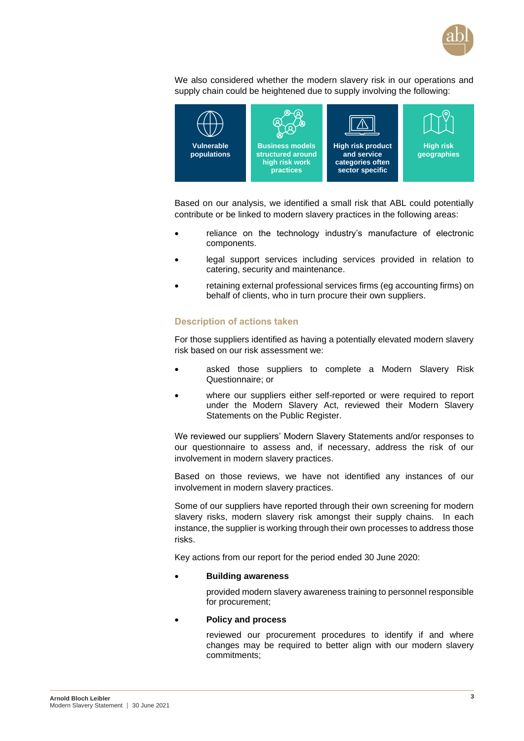

We also considered whether the modern slavery risk in our operations and supply chain could be heightened due to supply involving the following:



Based on our analysis, we identified a small risk that ABL could potentially contribute or be linked to modern slavery practices in the following areas:

- reliance on the technology industry's manufacture of electronic components.
- legal support services including services provided in relation to catering, security and maintenance.
- retaining external professional services firms (eg accounting firms) on behalf of clients, who in turn procure their own suppliers.

#### **Description of actions taken**

For those suppliers identified as having a potentially elevated modern slavery risk based on our risk assessment we:

- asked those suppliers to complete a Modern Slavery Risk Questionnaire; or
- where our suppliers either self-reported or were required to report under the Modern Slavery Act, reviewed their Modern Slavery Statements on the Public Register.

We reviewed our suppliers' Modern Slavery Statements and/or responses to our questionnaire to assess and, if necessary, address the risk of our involvement in modern slavery practices.

Based on those reviews, we have not identified any instances of our involvement in modern slavery practices.

Some of our suppliers have reported through their own screening for modern slavery risks, modern slavery risk amongst their supply chains. In each instance, the supplier is working through their own processes to address those risks.

Key actions from our report for the period ended 30 June 2020:

#### • **Building awareness**

provided modern slavery awareness training to personnel responsible for procurement;

#### • **Policy and process**

reviewed our procurement procedures to identify if and where changes may be required to better align with our modern slavery commitments;